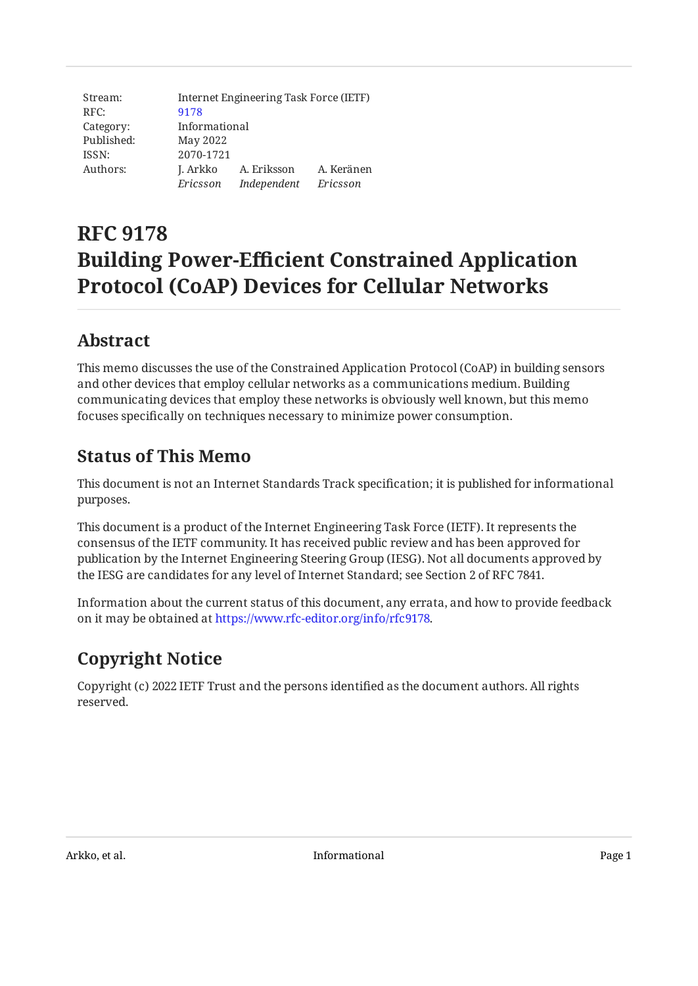| Stream:    | Internet Engineering Task Force (IETF) |             |            |
|------------|----------------------------------------|-------------|------------|
| RFC:       | 9178                                   |             |            |
| Category:  | Informational                          |             |            |
| Published: | May 2022                               |             |            |
| ISSN:      | 2070-1721                              |             |            |
| Authors:   | J. Arkko                               | A. Eriksson | A. Keränen |
|            | Ericsson                               | Independent | Ericsson   |

# **RFC 9178 Building Power-Efficient Constrained Application Protocol (CoAP) Devices for Cellular Networks**

### <span id="page-0-0"></span>**[Abstract](#page-0-0)**

This memo discusses the use of the Constrained Application Protocol (CoAP) in building sensors and other devices that employ cellular networks as a communications medium. Building communicating devices that employ these networks is obviously well known, but this memo focuses specifically on techniques necessary to minimize power consumption.

#### <span id="page-0-1"></span>**[Status of This Memo](#page-0-1)**

This document is not an Internet Standards Track specification; it is published for informational purposes.

This document is a product of the Internet Engineering Task Force (IETF). It represents the consensus of the IETF community. It has received public review and has been approved for publication by the Internet Engineering Steering Group (IESG). Not all documents approved by the IESG are candidates for any level of Internet Standard; see Section 2 of RFC 7841.

Information about the current status of this document, any errata, and how to provide feedback on it may be obtained at [https://www.rfc-editor.org/info/rfc9178.](https://www.rfc-editor.org/info/rfc9178)

# <span id="page-0-2"></span>**[Copyright Notice](#page-0-2)**

Copyright (c) 2022 IETF Trust and the persons identified as the document authors. All rights reserved.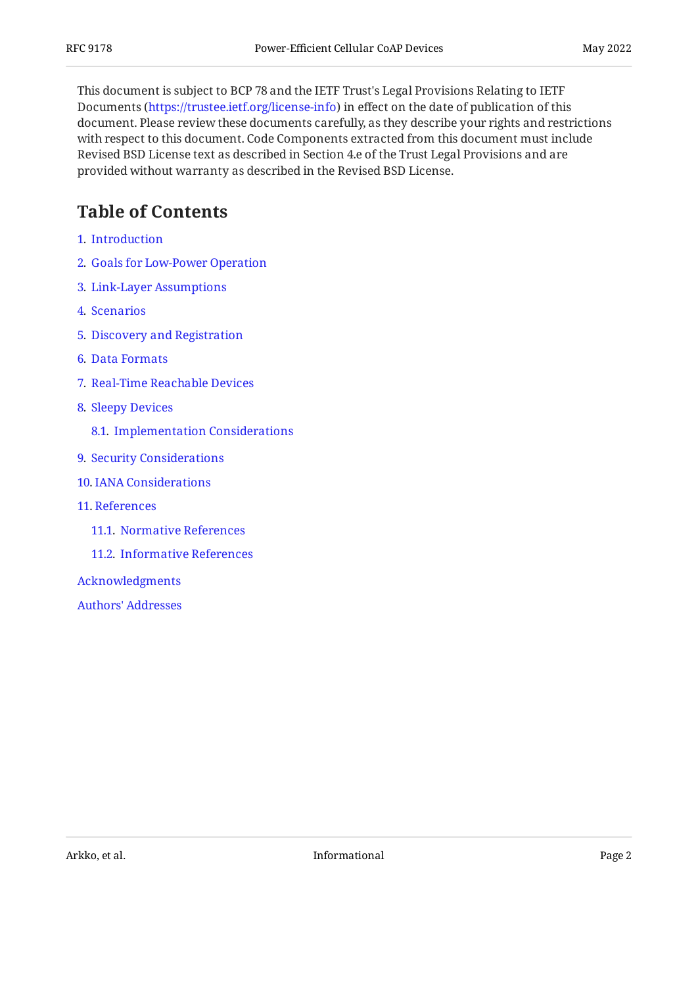This document is subject to BCP 78 and the IETF Trust's Legal Provisions Relating to IETF Documents (<https://trustee.ietf.org/license-info>) in effect on the date of publication of this document. Please review these documents carefully, as they describe your rights and restrictions with respect to this document. Code Components extracted from this document must include Revised BSD License text as described in Section 4.e of the Trust Legal Provisions and are provided without warranty as described in the Revised BSD License.

### <span id="page-1-0"></span>**[Table of Contents](#page-1-0)**

- [1](#page-2-0). [Introduction](#page-2-0)
- [2](#page-3-0). [Goals for Low-Power Operation](#page-3-0)
- [3](#page-4-0). [Link-Layer Assumptions](#page-4-0)
- [4](#page-6-0). [Scenarios](#page-6-0)
- [5](#page-7-0). [Discovery and Registration](#page-7-0)
- [6](#page-8-0). [Data Formats](#page-8-0)
- [7](#page-8-1). [Real-Time Reachable Devices](#page-8-1)
- [8](#page-9-0). [Sleepy Devices](#page-9-0)
	- [8.1.](#page-10-0) [Implementation Considerations](#page-10-0)
- [9](#page-10-1). [Security Considerations](#page-10-1)
- [10](#page-11-0). [IANA Considerations](#page-11-0)
- [11](#page-11-1). [References](#page-11-1)
	- [11.1.](#page-11-2) [Normative References](#page-11-2)
	- [11.2.](#page-12-0) [Informative References](#page-12-0)

[Acknowledgments](#page-13-0)

[Authors' Addresses](#page-13-1)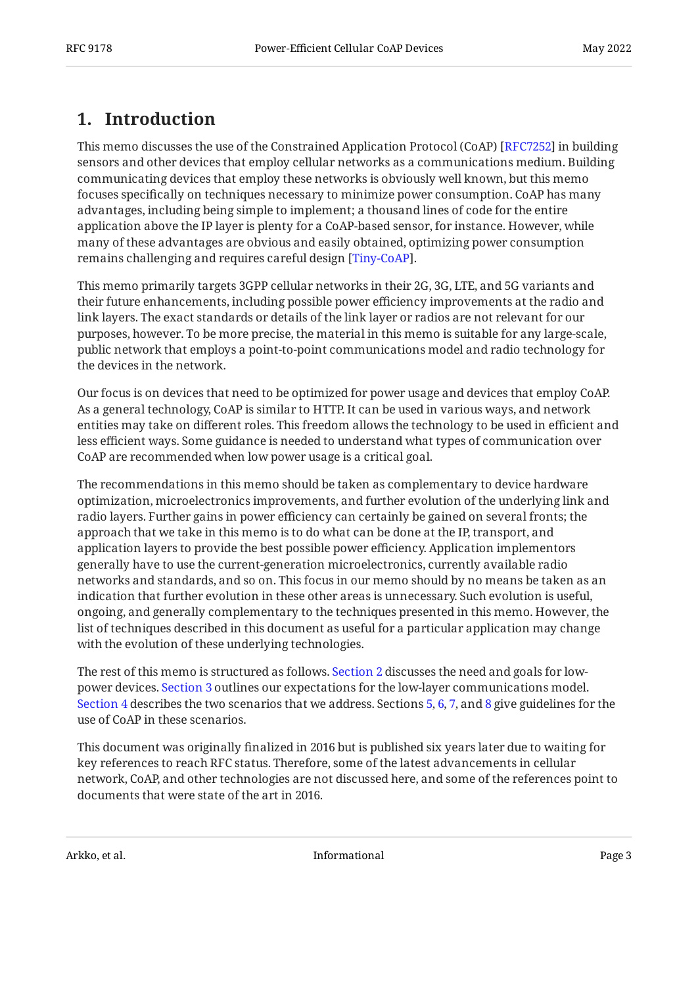### <span id="page-2-0"></span>**[1. Introduction](#page-2-0)**

This memo discusses the use of the Constrained Application Protocol (CoAP) [RFC7252] in building sensors and other devices that employ cellular networks as a communications medium. Building communicating devices that employ these networks is obviously well known, but this memo focuses specifically on techniques necessary to minimize power consumption. CoAP has many advantages, including being simple to implement; a thousand lines of code for the entire application above the IP layer is plenty for a CoAP-based sensor, for instance. However, while many of these advantages are obvious and easily obtained, optimizing power consumption remains challenging and requires careful design [Tiny-CoAP].

This memo primarily targets 3GPP cellular networks in their 2G, 3G, LTE, and 5G variants and their future enhancements, including possible power efficiency improvements at the radio and link layers. The exact standards or details of the link layer or radios are not relevant for our purposes, however. To be more precise, the material in this memo is suitable for any large-scale, public network that employs a point-to-point communications model and radio technology for the devices in the network.

Our focus is on devices that need to be optimized for power usage and devices that employ CoAP. As a general technology, CoAP is similar to HTTP. It can be used in various ways, and network entities may take on different roles. This freedom allows the technology to be used in efficient and less efficient ways. Some guidance is needed to understand what types of communication over CoAP are recommended when low power usage is a critical goal.

The recommendations in this memo should be taken as complementary to device hardware optimization, microelectronics improvements, and further evolution of the underlying link and radio layers. Further gains in power efficiency can certainly be gained on several fronts; the approach that we take in this memo is to do what can be done at the IP, transport, and application layers to provide the best possible power efficiency. Application implementors generally have to use the current-generation microelectronics, currently available radio networks and standards, and so on. This focus in our memo should by no means be taken as an indication that further evolution in these other areas is unnecessary. Such evolution is useful, ongoing, and generally complementary to the techniques presented in this memo. However, the list of techniques described in this document as useful for a particular application may change with the evolution of these underlying technologies.

The rest of this memo is structured as follows. [Section 2](#page-3-0) discusses the need and goals for lowpower devices. [Section 3](#page-4-0) outlines our expectations for the low-layer communications model. [Section 4](#page-6-0) describes the two scenarios that we address. Sections [5,](#page-7-0) [6](#page-8-0), [7](#page-8-1), and [8](#page-9-0) give guidelines for the use of CoAP in these scenarios.

This document was originally finalized in 2016 but is published six years later due to waiting for key references to reach RFC status. Therefore, some of the latest advancements in cellular network, CoAP, and other technologies are not discussed here, and some of the references point to documents that were state of the art in 2016.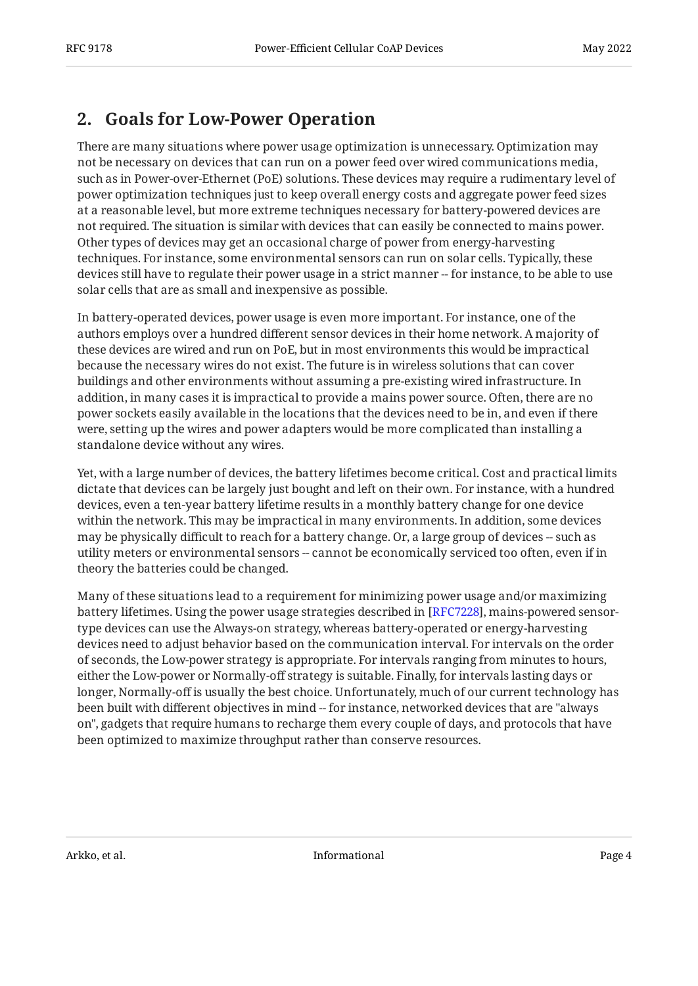#### <span id="page-3-0"></span>**[2. Goals for Low-Power Operation](#page-3-0)**

There are many situations where power usage optimization is unnecessary. Optimization may not be necessary on devices that can run on a power feed over wired communications media, such as in Power-over-Ethernet (PoE) solutions. These devices may require a rudimentary level of power optimization techniques just to keep overall energy costs and aggregate power feed sizes at a reasonable level, but more extreme techniques necessary for battery-powered devices are not required. The situation is similar with devices that can easily be connected to mains power. Other types of devices may get an occasional charge of power from energy-harvesting techniques. For instance, some environmental sensors can run on solar cells. Typically, these devices still have to regulate their power usage in a strict manner -- for instance, to be able to use solar cells that are as small and inexpensive as possible.

In battery-operated devices, power usage is even more important. For instance, one of the authors employs over a hundred different sensor devices in their home network. A majority of these devices are wired and run on PoE, but in most environments this would be impractical because the necessary wires do not exist. The future is in wireless solutions that can cover buildings and other environments without assuming a pre-existing wired infrastructure. In addition, in many cases it is impractical to provide a mains power source. Often, there are no power sockets easily available in the locations that the devices need to be in, and even if there were, setting up the wires and power adapters would be more complicated than installing a standalone device without any wires.

Yet, with a large number of devices, the battery lifetimes become critical. Cost and practical limits dictate that devices can be largely just bought and left on their own. For instance, with a hundred devices, even a ten-year battery lifetime results in a monthly battery change for one device within the network. This may be impractical in many environments. In addition, some devices may be physically difficult to reach for a battery change. Or, a large group of devices -- such as utility meters or environmental sensors -- cannot be economically serviced too often, even if in theory the batteries could be changed.

Many of these situations lead to a requirement for minimizing power usage and/or maximizing battery lifetimes. Using the power usage strategies described in [[RFC7228\]](#page-11-4), mains-powered sensortype devices can use the Always-on strategy, whereas battery-operated or energy-harvesting devices need to adjust behavior based on the communication interval. For intervals on the order of seconds, the Low-power strategy is appropriate. For intervals ranging from minutes to hours, either the Low-power or Normally-off strategy is suitable. Finally, for intervals lasting days or longer, Normally-off is usually the best choice. Unfortunately, much of our current technology has been built with different objectives in mind -- for instance, networked devices that are "always on", gadgets that require humans to recharge them every couple of days, and protocols that have been optimized to maximize throughput rather than conserve resources.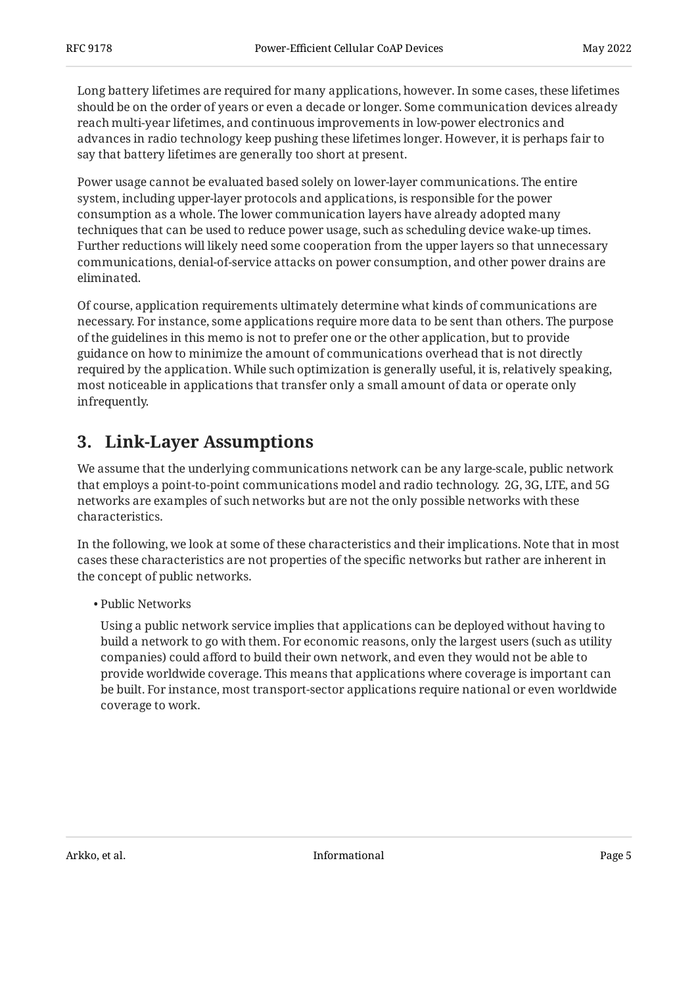Long battery lifetimes are required for many applications, however. In some cases, these lifetimes should be on the order of years or even a decade or longer. Some communication devices already reach multi-year lifetimes, and continuous improvements in low-power electronics and advances in radio technology keep pushing these lifetimes longer. However, it is perhaps fair to say that battery lifetimes are generally too short at present.

Power usage cannot be evaluated based solely on lower-layer communications. The entire system, including upper-layer protocols and applications, is responsible for the power consumption as a whole. The lower communication layers have already adopted many techniques that can be used to reduce power usage, such as scheduling device wake-up times. Further reductions will likely need some cooperation from the upper layers so that unnecessary communications, denial-of-service attacks on power consumption, and other power drains are eliminated.

Of course, application requirements ultimately determine what kinds of communications are necessary. For instance, some applications require more data to be sent than others. The purpose of the guidelines in this memo is not to prefer one or the other application, but to provide guidance on how to minimize the amount of communications overhead that is not directly required by the application. While such optimization is generally useful, it is, relatively speaking, most noticeable in applications that transfer only a small amount of data or operate only infrequently.

#### <span id="page-4-0"></span>**[3. Link-Layer Assumptions](#page-4-0)**

We assume that the underlying communications network can be any large-scale, public network that employs a point-to-point communications model and radio technology. 2G, 3G, LTE, and 5G networks are examples of such networks but are not the only possible networks with these characteristics.

In the following, we look at some of these characteristics and their implications. Note that in most cases these characteristics are not properties of the specific networks but rather are inherent in the concept of public networks.

Public Networks •

Using a public network service implies that applications can be deployed without having to build a network to go with them. For economic reasons, only the largest users (such as utility companies) could afford to build their own network, and even they would not be able to provide worldwide coverage. This means that applications where coverage is important can be built. For instance, most transport-sector applications require national or even worldwide coverage to work.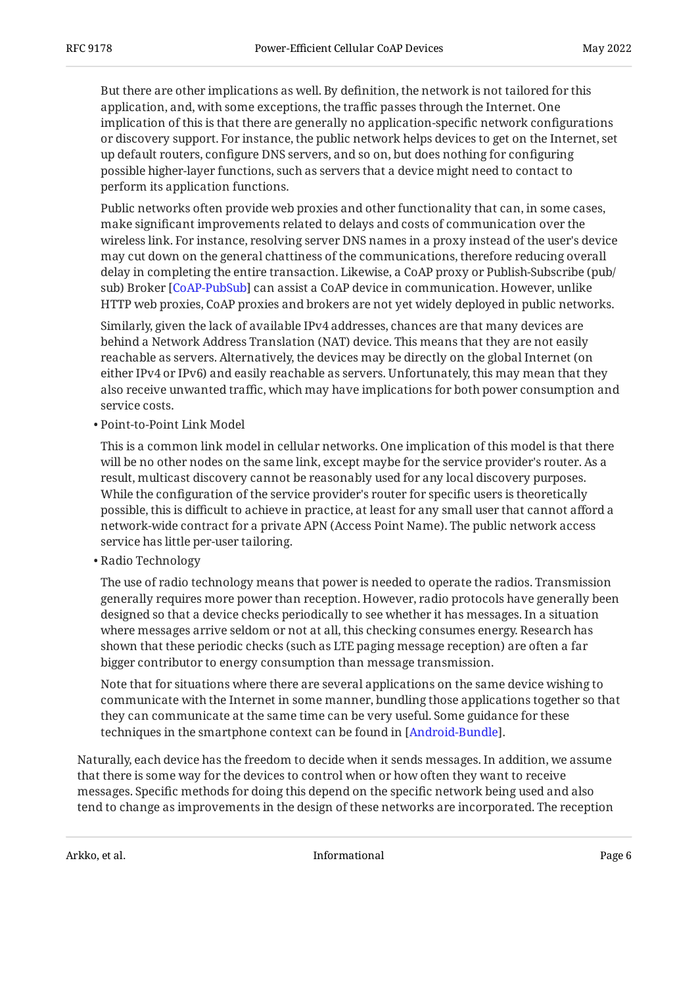But there are other implications as well. By definition, the network is not tailored for this application, and, with some exceptions, the traffic passes through the Internet. One implication of this is that there are generally no application-specific network configurations or discovery support. For instance, the public network helps devices to get on the Internet, set up default routers, configure DNS servers, and so on, but does nothing for configuring possible higher-layer functions, such as servers that a device might need to contact to perform its application functions.

Public networks often provide web proxies and other functionality that can, in some cases, make significant improvements related to delays and costs of communication over the wireless link. For instance, resolving server DNS names in a proxy instead of the user's device may cut down on the general chattiness of the communications, therefore reducing overall delay in completing the entire transaction. Likewise, a CoAP proxy or Publish-Subscribe (pub/ sub) Broker [\[CoAP-PubSub](#page-12-2)] can assist a CoAP device in communication. However, unlike HTTP web proxies, CoAP proxies and brokers are not yet widely deployed in public networks.

Similarly, given the lack of available IPv4 addresses, chances are that many devices are behind a Network Address Translation (NAT) device. This means that they are not easily reachable as servers. Alternatively, the devices may be directly on the global Internet (on either IPv4 or IPv6) and easily reachable as servers. Unfortunately, this may mean that they also receive unwanted traffic, which may have implications for both power consumption and service costs.

Point-to-Point Link Model •

This is a common link model in cellular networks. One implication of this model is that there will be no other nodes on the same link, except maybe for the service provider's router. As a result, multicast discovery cannot be reasonably used for any local discovery purposes. While the configuration of the service provider's router for specific users is theoretically possible, this is difficult to achieve in practice, at least for any small user that cannot afford a network-wide contract for a private APN (Access Point Name). The public network access service has little per-user tailoring.

Radio Technology •

The use of radio technology means that power is needed to operate the radios. Transmission generally requires more power than reception. However, radio protocols have generally been designed so that a device checks periodically to see whether it has messages. In a situation where messages arrive seldom or not at all, this checking consumes energy. Research has shown that these periodic checks (such as LTE paging message reception) are often a far bigger contributor to energy consumption than message transmission.

Note that for situations where there are several applications on the same device wishing to communicate with the Internet in some manner, bundling those applications together so that they can communicate at the same time can be very useful. Some guidance for these techniques in the smartphone context can be found in [\[Android-Bundle\]](#page-12-3).

Naturally, each device has the freedom to decide when it sends messages. In addition, we assume that there is some way for the devices to control when or how often they want to receive messages. Specific methods for doing this depend on the specific network being used and also tend to change as improvements in the design of these networks are incorporated. The reception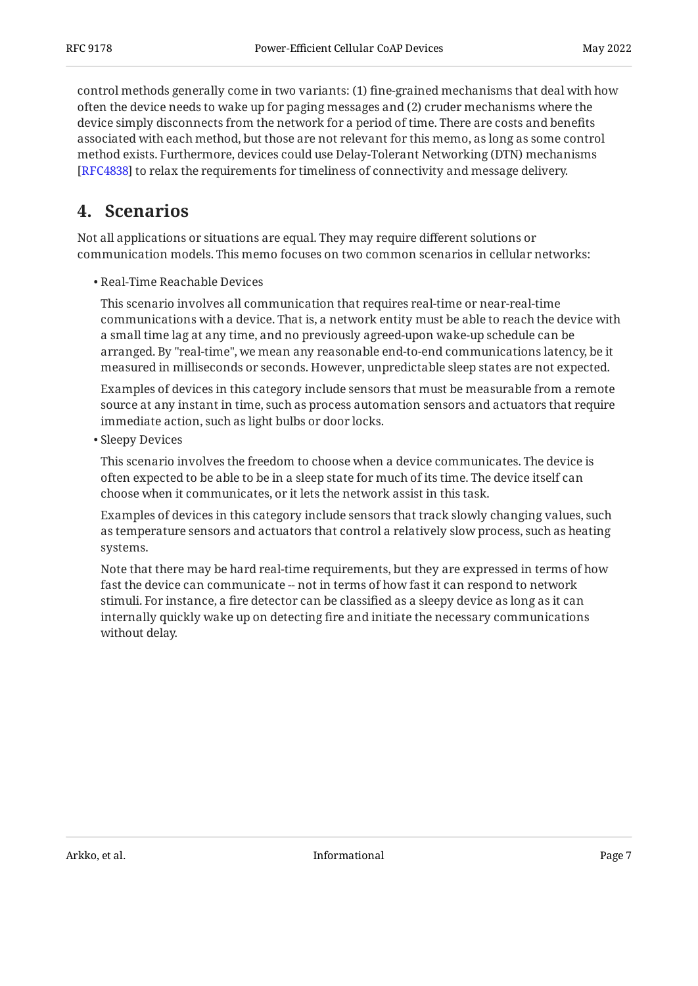control methods generally come in two variants: (1) fine-grained mechanisms that deal with how often the device needs to wake up for paging messages and (2) cruder mechanisms where the device simply disconnects from the network for a period of time. There are costs and benefits associated with each method, but those are not relevant for this memo, as long as some control method exists. Furthermore, devices could use Delay-Tolerant Networking (DTN) mechanisms [[RFC4838\]](#page-12-4) to relax the requirements for timeliness of connectivity and message delivery.

#### <span id="page-6-0"></span>**[4. Scenarios](#page-6-0)**

Not all applications or situations are equal. They may require different solutions or communication models. This memo focuses on two common scenarios in cellular networks:

Real-Time Reachable Devices •

This scenario involves all communication that requires real-time or near-real-time communications with a device. That is, a network entity must be able to reach the device with a small time lag at any time, and no previously agreed-upon wake-up schedule can be arranged. By "real-time", we mean any reasonable end-to-end communications latency, be it measured in milliseconds or seconds. However, unpredictable sleep states are not expected.

Examples of devices in this category include sensors that must be measurable from a remote source at any instant in time, such as process automation sensors and actuators that require immediate action, such as light bulbs or door locks.

• Sleepy Devices

This scenario involves the freedom to choose when a device communicates. The device is often expected to be able to be in a sleep state for much of its time. The device itself can choose when it communicates, or it lets the network assist in this task.

Examples of devices in this category include sensors that track slowly changing values, such as temperature sensors and actuators that control a relatively slow process, such as heating systems.

Note that there may be hard real-time requirements, but they are expressed in terms of how fast the device can communicate -- not in terms of how fast it can respond to network stimuli. For instance, a fire detector can be classified as a sleepy device as long as it can internally quickly wake up on detecting fire and initiate the necessary communications without delay.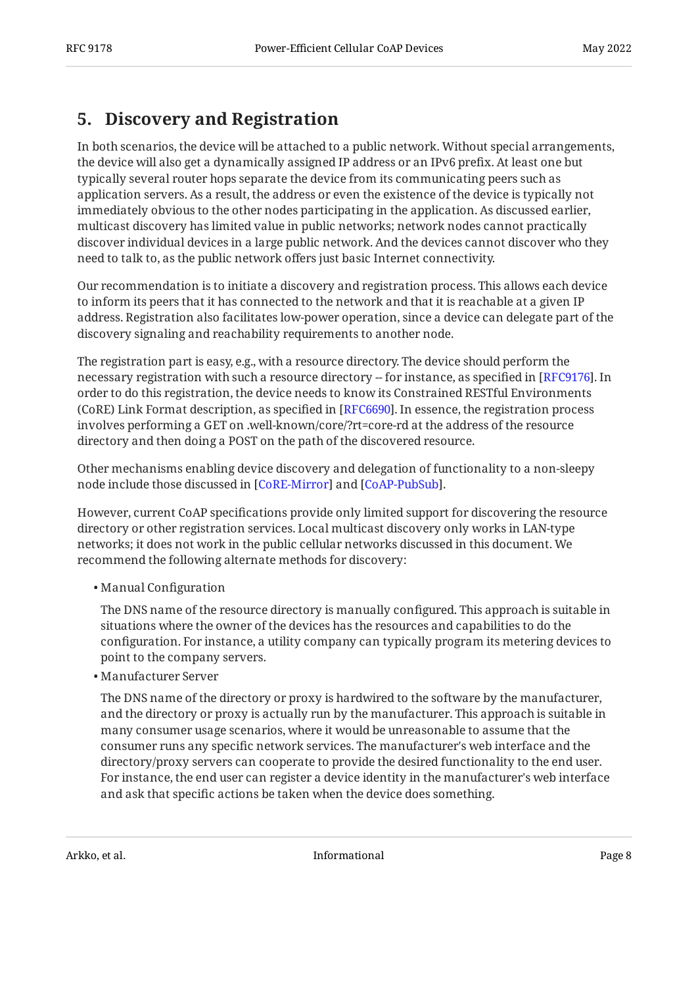#### <span id="page-7-0"></span>**[5. Discovery and Registration](#page-7-0)**

In both scenarios, the device will be attached to a public network. Without special arrangements, the device will also get a dynamically assigned IP address or an IPv6 prefix. At least one but typically several router hops separate the device from its communicating peers such as application servers. As a result, the address or even the existence of the device is typically not immediately obvious to the other nodes participating in the application. As discussed earlier, multicast discovery has limited value in public networks; network nodes cannot practically discover individual devices in a large public network. And the devices cannot discover who they need to talk to, as the public network offers just basic Internet connectivity.

Our recommendation is to initiate a discovery and registration process. This allows each device to inform its peers that it has connected to the network and that it is reachable at a given IP address. Registration also facilitates low-power operation, since a device can delegate part of the discovery signaling and reachability requirements to another node.

The registration part is easy, e.g., with a resource directory. The device should perform the necessary registration with such a resource directory -- for instance, as specified in [\[RFC9176](#page-11-5)]. In order to do this registration, the device needs to know its Constrained RESTful Environments (CoRE) Link Format description, as specified in [RFC6690]. In essence, the registration process involves performing a GET on .well-known/core/?rt=core-rd at the address of the resource directory and then doing a POST on the path of the discovered resource.

Other mechanisms enabling device discovery and delegation of functionality to a non-sleepy node include those discussed in [CoRE-Mirror] and [CoAP-PubSub].

However, current CoAP specifications provide only limited support for discovering the resource directory or other registration services. Local multicast discovery only works in LAN-type networks; it does not work in the public cellular networks discussed in this document. We recommend the following alternate methods for discovery:

Manual Configuration •

The DNS name of the resource directory is manually configured. This approach is suitable in situations where the owner of the devices has the resources and capabilities to do the configuration. For instance, a utility company can typically program its metering devices to point to the company servers.

Manufacturer Server •

The DNS name of the directory or proxy is hardwired to the software by the manufacturer, and the directory or proxy is actually run by the manufacturer. This approach is suitable in many consumer usage scenarios, where it would be unreasonable to assume that the consumer runs any specific network services. The manufacturer's web interface and the directory/proxy servers can cooperate to provide the desired functionality to the end user. For instance, the end user can register a device identity in the manufacturer's web interface and ask that specific actions be taken when the device does something.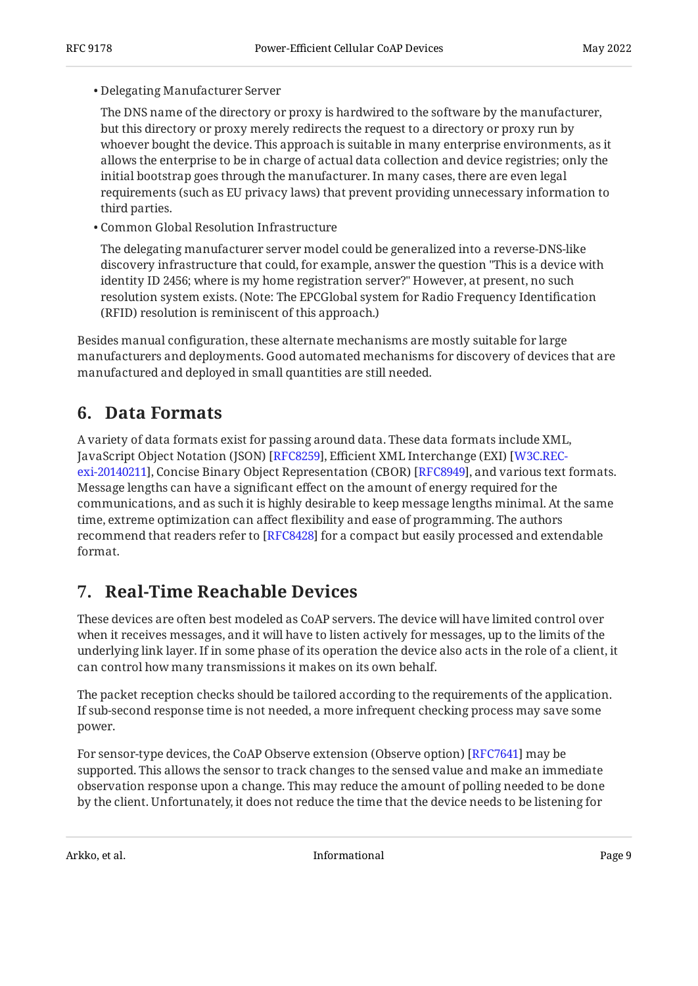#### Delegating Manufacturer Server •

The DNS name of the directory or proxy is hardwired to the software by the manufacturer, but this directory or proxy merely redirects the request to a directory or proxy run by whoever bought the device. This approach is suitable in many enterprise environments, as it allows the enterprise to be in charge of actual data collection and device registries; only the initial bootstrap goes through the manufacturer. In many cases, there are even legal requirements (such as EU privacy laws) that prevent providing unnecessary information to third parties.

Common Global Resolution Infrastructure •

The delegating manufacturer server model could be generalized into a reverse-DNS-like discovery infrastructure that could, for example, answer the question "This is a device with identity ID 2456; where is my home registration server?" However, at present, no such resolution system exists. (Note: The EPCGlobal system for Radio Frequency Identification (RFID) resolution is reminiscent of this approach.)

Besides manual configuration, these alternate mechanisms are mostly suitable for large manufacturers and deployments. Good automated mechanisms for discovery of devices that are manufactured and deployed in small quantities are still needed.

#### <span id="page-8-0"></span>**[6. Data Formats](#page-8-0)**

A variety of data formats exist for passing around data. These data formats include XML, JavaScript Object Notation (JSON) [\[RFC8259\]](#page-11-7), Efficient XML Interchange (EXI) [[W3C.REC](#page-11-8)[exi-20140211](#page-11-8)], Concise Binary Object Representation (CBOR) [RFC8949], and various text formats. Message lengths can have a significant effect on the amount of energy required for the communications, and as such it is highly desirable to keep message lengths minimal. At the same time, extreme optimization can affect flexibility and ease of programming. The authors recommend that readers refer to [RFC8428] for a compact but easily processed and extendable format.

#### <span id="page-8-1"></span>**[7. Real-Time Reachable Devices](#page-8-1)**

These devices are often best modeled as CoAP servers. The device will have limited control over when it receives messages, and it will have to listen actively for messages, up to the limits of the underlying link layer. If in some phase of its operation the device also acts in the role of a client, it can control how many transmissions it makes on its own behalf.

The packet reception checks should be tailored according to the requirements of the application. If sub-second response time is not needed, a more infrequent checking process may save some power.

For sensor-type devices, the CoAP Observe extension (Observe option) [RFC7641] may be supported. This allows the sensor to track changes to the sensed value and make an immediate observation response upon a change. This may reduce the amount of polling needed to be done by the client. Unfortunately, it does not reduce the time that the device needs to be listening for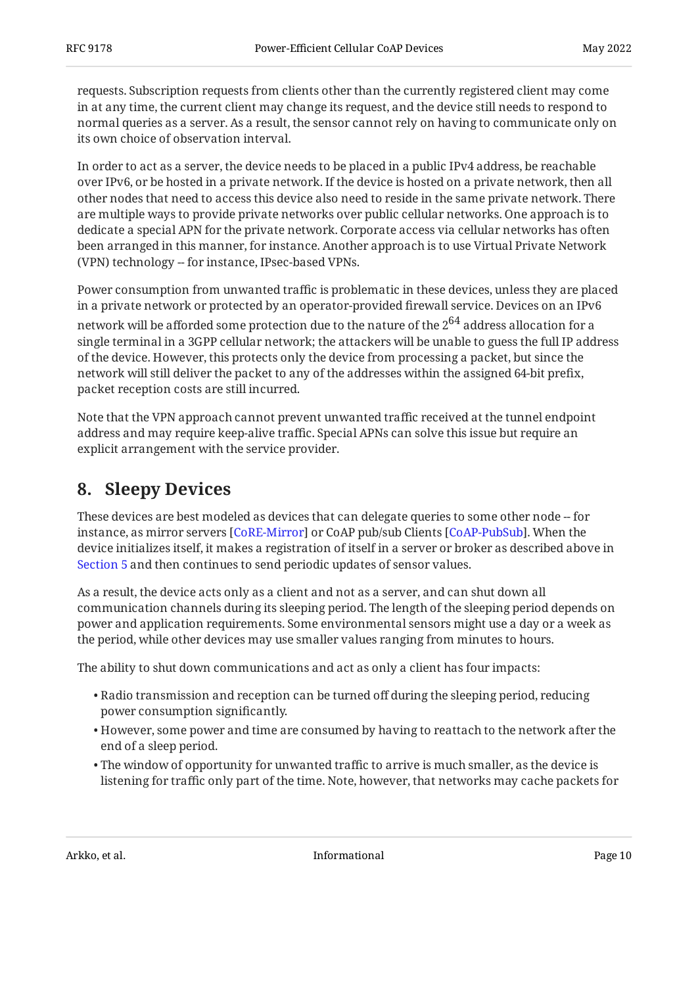requests. Subscription requests from clients other than the currently registered client may come in at any time, the current client may change its request, and the device still needs to respond to normal queries as a server. As a result, the sensor cannot rely on having to communicate only on its own choice of observation interval.

In order to act as a server, the device needs to be placed in a public IPv4 address, be reachable over IPv6, or be hosted in a private network. If the device is hosted on a private network, then all other nodes that need to access this device also need to reside in the same private network. There are multiple ways to provide private networks over public cellular networks. One approach is to dedicate a special APN for the private network. Corporate access via cellular networks has often been arranged in this manner, for instance. Another approach is to use Virtual Private Network (VPN) technology -- for instance, IPsec-based VPNs.

Power consumption from unwanted traffic is problematic in these devices, unless they are placed in a private network or protected by an operator-provided firewall service. Devices on an IPv6 network will be afforded some protection due to the nature of the  $2^{64}$  address allocation for a single terminal in a 3GPP cellular network; the attackers will be unable to guess the full IP address of the device. However, this protects only the device from processing a packet, but since the network will still deliver the packet to any of the addresses within the assigned 64-bit prefix, packet reception costs are still incurred.

Note that the VPN approach cannot prevent unwanted traffic received at the tunnel endpoint address and may require keep-alive traffic. Special APNs can solve this issue but require an explicit arrangement with the service provider.

#### <span id="page-9-0"></span>**[8. Sleepy Devices](#page-9-0)**

These devices are best modeled as devices that can delegate queries to some other node -- for instance, as mirror servers [CoRE-Mirror] or CoAP pub/sub Clients [CoAP-PubSub]. When the device initializes itself, it makes a registration of itself in a server or broker as described above in [Section 5](#page-7-0) and then continues to send periodic updates of sensor values.

As a result, the device acts only as a client and not as a server, and can shut down all communication channels during its sleeping period. The length of the sleeping period depends on power and application requirements. Some environmental sensors might use a day or a week as the period, while other devices may use smaller values ranging from minutes to hours.

The ability to shut down communications and act as only a client has four impacts:

- $\bullet$  Radio transmission and reception can be turned off during the sleeping period, reducing power consumption significantly.
- $\bullet$  However, some power and time are consumed by having to reattach to the network after the end of a sleep period.
- $\bullet$  The window of opportunity for unwanted traffic to arrive is much smaller, as the device is listening for traffic only part of the time. Note, however, that networks may cache packets for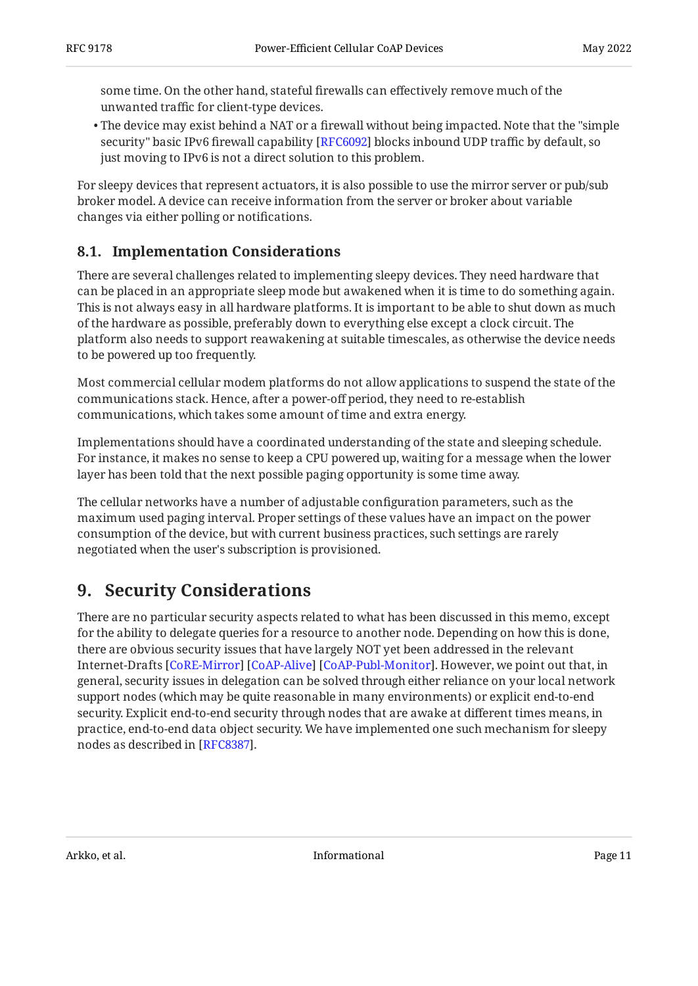some time. On the other hand, stateful firewalls can effectively remove much of the unwanted traffic for client-type devices.

 $\bullet$  The device may exist behind a NAT or a firewall without being impacted. Note that the "simple security" basic IPv6 firewall capability [RFC6092] blocks inbound UDP traffic by default, so just moving to IPv6 is not a direct solution to this problem.

For sleepy devices that represent actuators, it is also possible to use the mirror server or pub/sub broker model. A device can receive information from the server or broker about variable changes via either polling or notifications.

#### <span id="page-10-0"></span>**[8.1. Implementation Considerations](#page-10-0)**

There are several challenges related to implementing sleepy devices. They need hardware that can be placed in an appropriate sleep mode but awakened when it is time to do something again. This is not always easy in all hardware platforms. It is important to be able to shut down as much of the hardware as possible, preferably down to everything else except a clock circuit. The platform also needs to support reawakening at suitable timescales, as otherwise the device needs to be powered up too frequently.

Most commercial cellular modem platforms do not allow applications to suspend the state of the communications stack. Hence, after a power-off period, they need to re-establish communications, which takes some amount of time and extra energy.

Implementations should have a coordinated understanding of the state and sleeping schedule. For instance, it makes no sense to keep a CPU powered up, waiting for a message when the lower layer has been told that the next possible paging opportunity is some time away.

The cellular networks have a number of adjustable configuration parameters, such as the maximum used paging interval. Proper settings of these values have an impact on the power consumption of the device, but with current business practices, such settings are rarely negotiated when the user's subscription is provisioned.

#### <span id="page-10-1"></span>**[9. Security Considerations](#page-10-1)**

There are no particular security aspects related to what has been discussed in this memo, except for the ability to delegate queries for a resource to another node. Depending on how this is done, there are obvious security issues that have largely NOT yet been addressed in the relevant Internet-Drafts [[CoRE-Mirror\]](#page-12-5) [\[CoAP-Alive](#page-12-7)] [[CoAP-Publ-Monitor\]](#page-12-8). However, we point out that, in general, security issues in delegation can be solved through either reliance on your local network support nodes (which may be quite reasonable in many environments) or explicit end-to-end security. Explicit end-to-end security through nodes that are awake at different times means, in practice, end-to-end data object security. We have implemented one such mechanism for sleepy nodes as described in [RFC8387].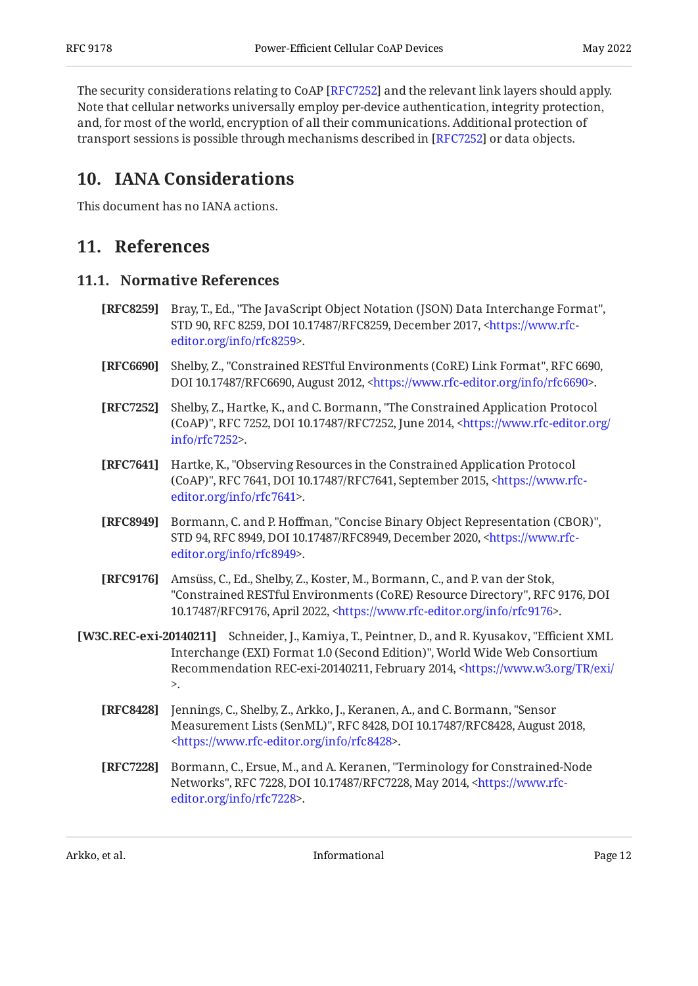The security considerations relating to CoAP [[RFC7252\]](#page-11-3) and the relevant link layers should apply. Note that cellular networks universally employ per-device authentication, integrity protection, and, for most of the world, encryption of all their communications. Additional protection of transport sessions is possible through mechanisms described in [RFC7252] or data objects.

#### <span id="page-11-0"></span>**[10. IANA Considerations](#page-11-0)**

<span id="page-11-1"></span>This document has no IANA actions.

#### <span id="page-11-2"></span>**[11. References](#page-11-1)**

#### **[11.1. Normative References](#page-11-2)**

- <span id="page-11-7"></span>**[RFC8259]** Bray, T., Ed., "The JavaScript Object Notation (JSON) Data Interchange Format", STD 90, RFC 8259, DOI 10.17487/RFC8259, December 2017, [<https://www.rfc-](https://www.rfc-editor.org/info/rfc8259). [editor.org/info/rfc8259](https://www.rfc-editor.org/info/rfc8259)>
- <span id="page-11-6"></span>**[RFC6690]** Shelby, Z., "Constrained RESTful Environments (CoRE) Link Format", RFC 6690, DOI 10.17487/RFC6690, August 2012, [<https://www.rfc-editor.org/info/rfc6690](https://www.rfc-editor.org/info/rfc6690)>.
- <span id="page-11-3"></span>**[RFC7252]** Shelby, Z., Hartke, K., and C. Bormann, "The Constrained Application Protocol (CoAP)", RFC 7252, DOI 10.17487/RFC7252, June 2014, [<https://www.rfc-editor.org/](https://www.rfc-editor.org/info/rfc7252) . [info/rfc7252>](https://www.rfc-editor.org/info/rfc7252)
- <span id="page-11-11"></span>**[RFC7641]** Hartke, K., "Observing Resources in the Constrained Application Protocol (CoAP)", RFC 7641, DOI 10.17487/RFC7641, September 2015, [<https://www.rfc-](https://www.rfc-editor.org/info/rfc7641). [editor.org/info/rfc7641](https://www.rfc-editor.org/info/rfc7641)>
- <span id="page-11-9"></span>**[RFC8949]** Bormann, C. and P. Hoffman, "Concise Binary Object Representation (CBOR)", STD 94, RFC 8949, DOI 10.17487/RFC8949, December 2020, [<https://www.rfc-](https://www.rfc-editor.org/info/rfc8949). [editor.org/info/rfc8949](https://www.rfc-editor.org/info/rfc8949)>
- <span id="page-11-5"></span>**[RFC9176]** Amsüss, C., Ed., Shelby, Z., Koster, M., Bormann, C., and P. van der Stok, "Constrained RESTful Environments (CoRE) Resource Directory", RFC 9176, DOI 10.17487/RFC9176, April 2022, [<https://www.rfc-editor.org/info/rfc9176](https://www.rfc-editor.org/info/rfc9176)>.
- <span id="page-11-10"></span><span id="page-11-8"></span>**[W3C.REC-exi-20140211]** Schneider, J., Kamiya, T., Peintner, D., and R. Kyusakov, "Efficient XML Interchange (EXI) Format 1.0 (Second Edition)", World Wide Web Consortium Recommendation REC-exi-20140211, February 2014, [<https://www.w3.org/TR/exi/](https://www.w3.org/TR/exi/)  $\mathbf{r}$ 
	- **[RFC8428]** Jennings, C., Shelby, Z., Arkko, J., Keranen, A., and C. Bormann, "Sensor Measurement Lists (SenML)", RFC 8428, DOI 10.17487/RFC8428, August 2018, . [<https://www.rfc-editor.org/info/rfc8428](https://www.rfc-editor.org/info/rfc8428)>
	- **[RFC7228]** Bormann, C., Ersue, M., and A. Keranen, "Terminology for Constrained-Node Networks", RFC 7228, DOI 10.17487/RFC7228, May 2014, <[https://www.rfc-](https://www.rfc-editor.org/info/rfc7228). [editor.org/info/rfc7228](https://www.rfc-editor.org/info/rfc7228)>

<span id="page-11-4"></span>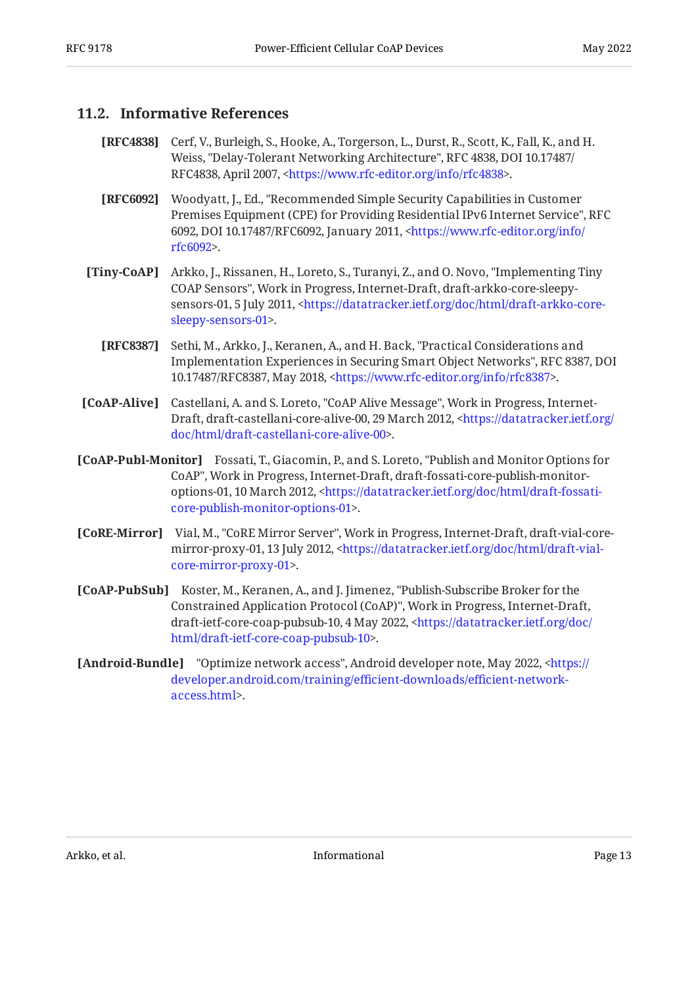#### <span id="page-12-0"></span>**[11.2. Informative References](#page-12-0)**

- <span id="page-12-4"></span>**[RFC4838]** Cerf, V., Burleigh, S., Hooke, A., Torgerson, L., Durst, R., Scott, K., Fall, K., and H. Weiss, "Delay-Tolerant Networking Architecture", RFC 4838, DOI 10.17487/ RFC4838, April 2007, [<https://www.rfc-editor.org/info/rfc4838](https://www.rfc-editor.org/info/rfc4838)>.
- <span id="page-12-6"></span>**[RFC6092]** Woodyatt, J., Ed., "Recommended Simple Security Capabilities in Customer Premises Equipment (CPE) for Providing Residential IPv6 Internet Service", RFC 6092, DOI 10.17487/RFC6092, January 2011, <[https://www.rfc-editor.org/info/](https://www.rfc-editor.org/info/rfc6092) . [rfc6092](https://www.rfc-editor.org/info/rfc6092)>
- <span id="page-12-1"></span>**[Tiny-CoAP]** Arkko, J., Rissanen, H., Loreto, S., Turanyi, Z., and O. Novo, "Implementing Tiny COAP Sensors", Work in Progress, Internet-Draft, draft-arkko-core-sleepy-sensors-01, 5 July 2011, [<https://datatracker.ietf.org/doc/html/draft-arkko-core-](https://datatracker.ietf.org/doc/html/draft-arkko-core-sleepy-sensors-01). [sleepy-sensors-01](https://datatracker.ietf.org/doc/html/draft-arkko-core-sleepy-sensors-01)>
	- **[RFC8387]** Sethi, M., Arkko, J., Keranen, A., and H. Back, "Practical Considerations and Implementation Experiences in Securing Smart Object Networks", RFC 8387, DOI 10.17487/RFC8387, May 2018, <https://www.rfc-editor.org/info/rfc8387>.
- <span id="page-12-9"></span><span id="page-12-7"></span>**[CoAP-Alive]** Castellani, A. and S. Loreto, "CoAP Alive Message", Work in Progress, Internet-Draft, draft-castellani-core-alive-00, 29 March 2012, [<https://datatracker.ietf.org/](https://datatracker.ietf.org/doc/html/draft-castellani-core-alive-00) . [doc/html/draft-castellani-core-alive-00>](https://datatracker.ietf.org/doc/html/draft-castellani-core-alive-00)
- <span id="page-12-8"></span>**[CoAP-Publ-Monitor]** Fossati, T., Giacomin, P., and S. Loreto, "Publish and Monitor Options for CoAP", Work in Progress, Internet-Draft, draft-fossati-core-publish-monitor-options-01, 10 March 2012, [<https://datatracker.ietf.org/doc/html/draft-fossati-](https://datatracker.ietf.org/doc/html/draft-fossati-core-publish-monitor-options-01). [core-publish-monitor-options-01>](https://datatracker.ietf.org/doc/html/draft-fossati-core-publish-monitor-options-01)
- <span id="page-12-5"></span>**[CoRE-Mirror]** Vial, M., "CoRE Mirror Server", Work in Progress, Internet-Draft, draft-vial-core-mirror-proxy-01, 13 July 2012, [<https://datatracker.ietf.org/doc/html/draft-vial-](https://datatracker.ietf.org/doc/html/draft-vial-core-mirror-proxy-01). [core-mirror-proxy-01](https://datatracker.ietf.org/doc/html/draft-vial-core-mirror-proxy-01)>
- <span id="page-12-2"></span>**[CoAP-PubSub]** Koster, M., Keranen, A., and J. Jimenez, "Publish-Subscribe Broker for the Constrained Application Protocol (CoAP)", Work in Progress, Internet-Draft, draft-ietf-core-coap-pubsub-10, 4 May 2022, [<https://datatracker.ietf.org/doc/](https://datatracker.ietf.org/doc/html/draft-ietf-core-coap-pubsub-10) . [html/draft-ietf-core-coap-pubsub-10](https://datatracker.ietf.org/doc/html/draft-ietf-core-coap-pubsub-10)>
- <span id="page-12-3"></span>**[Android-Bundle]** "Optimize network access", Android developer note, May 2022, <[https://](https://developer.android.com/training/efficient-downloads/efficient-network-access.html) . [access.html](https://developer.android.com/training/efficient-downloads/efficient-network-access.html)> [developer.android.com/training/e](https://developer.android.com/training/efficient-downloads/efficient-network-access.html)fficient-downloads/efficient-network-